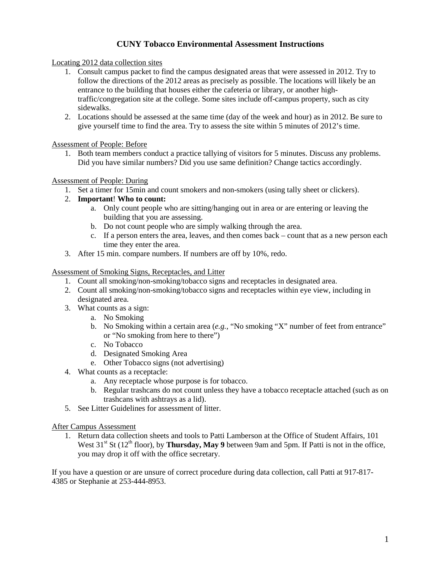## **CUNY Tobacco Environmental Assessment Instructions**

#### Locating 2012 data collection sites

- 1. Consult campus packet to find the campus designated areas that were assessed in 2012. Try to follow the directions of the 2012 areas as precisely as possible. The locations will likely be an entrance to the building that houses either the cafeteria or library, or another hightraffic/congregation site at the college. Some sites include off-campus property, such as city sidewalks.
- 2. Locations should be assessed at the same time (day of the week and hour) as in 2012. Be sure to give yourself time to find the area. Try to assess the site within 5 minutes of 2012's time.

Assessment of People: Before

1. Both team members conduct a practice tallying of visitors for 5 minutes. Discuss any problems. Did you have similar numbers? Did you use same definition? Change tactics accordingly.

### Assessment of People: During

- 1. Set a timer for 15min and count smokers and non-smokers (using tally sheet or clickers).
- 2. **Important**! **Who to count:** 
	- a. Only count people who are sitting/hanging out in area or are entering or leaving the building that you are assessing.
	- b. Do not count people who are simply walking through the area.
	- c. If a person enters the area, leaves, and then comes back count that as a new person each time they enter the area.
- 3. After 15 min. compare numbers. If numbers are off by 10%, redo.

#### Assessment of Smoking Signs, Receptacles, and Litter

- 1. Count all smoking/non-smoking/tobacco signs and receptacles in designated area.
- 2. Count all smoking/non-smoking/tobacco signs and receptacles within eye view, including in designated area.
- 3. What counts as a sign:
	- a. No Smoking
	- b. No Smoking within a certain area (*e.g.,* "No smoking "X" number of feet from entrance" or "No smoking from here to there")
	- c. No Tobacco
	- d. Designated Smoking Area
	- e. Other Tobacco signs (not advertising)
- 4. What counts as a receptacle:
	- a. Any receptacle whose purpose is for tobacco.
	- b. Regular trashcans do not count unless they have a tobacco receptacle attached (such as on trashcans with ashtrays as a lid).
- 5. See Litter Guidelines for assessment of litter.

#### After Campus Assessment

1. Return data collection sheets and tools to Patti Lamberson at the Office of Student Affairs, 101 West 31<sup>st</sup> St (12<sup>th</sup> floor), by **Thursday, May 9** between 9am and 5pm. If Patti is not in the office, you may drop it off with the office secretary.

If you have a question or are unsure of correct procedure during data collection, call Patti at 917-817- 4385 or Stephanie at 253-444-8953.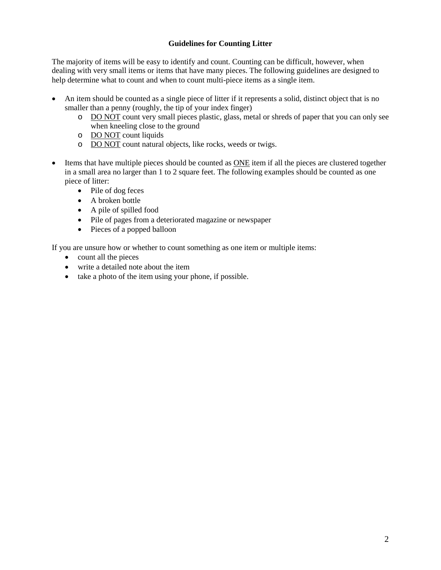### **Guidelines for Counting Litter**

The majority of items will be easy to identify and count. Counting can be difficult, however, when dealing with very small items or items that have many pieces. The following guidelines are designed to help determine what to count and when to count multi-piece items as a single item.

- An item should be counted as a single piece of litter if it represents a solid, distinct object that is no smaller than a penny (roughly, the tip of your index finger)
	- o DO NOT count very small pieces plastic, glass, metal or shreds of paper that you can only see when kneeling close to the ground
	- o DO NOT count liquids
	- o DO NOT count natural objects, like rocks, weeds or twigs.
- Items that have multiple pieces should be counted as ONE item if all the pieces are clustered together in a small area no larger than 1 to 2 square feet. The following examples should be counted as one piece of litter:
	- Pile of dog feces
	- A broken bottle
	- A pile of spilled food
	- Pile of pages from a deteriorated magazine or newspaper
	- Pieces of a popped balloon

If you are unsure how or whether to count something as one item or multiple items:

- count all the pieces
- write a detailed note about the item
- take a photo of the item using your phone, if possible.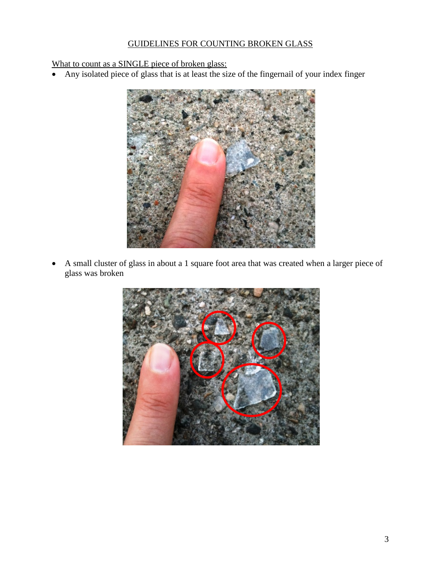# GUIDELINES FOR COUNTING BROKEN GLASS

What to count as a SINGLE piece of broken glass:

• Any isolated piece of glass that is at least the size of the fingernail of your index finger



• A small cluster of glass in about a 1 square foot area that was created when a larger piece of glass was broken

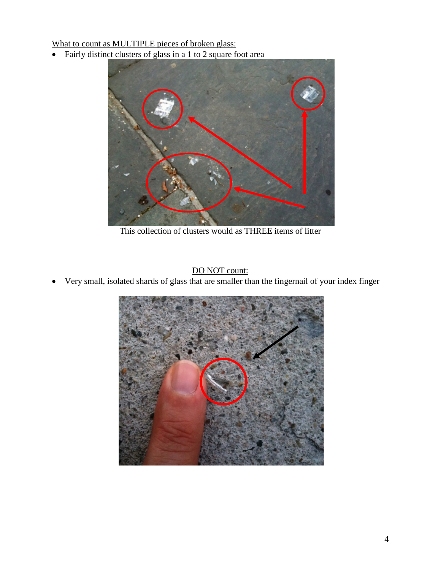What to count as MULTIPLE pieces of broken glass:

• Fairly distinct clusters of glass in a 1 to 2 square foot area



This collection of clusters would as THREE items of litter

DO NOT count:

• Very small, isolated shards of glass that are smaller than the fingernail of your index finger

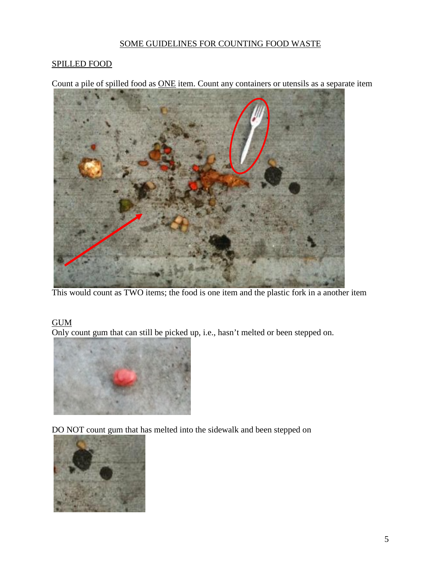## SOME GUIDELINES FOR COUNTING FOOD WASTE

## SPILLED FOOD

Count a pile of spilled food as ONE item. Count any containers or utensils as a separate item



This would count as TWO items; the food is one item and the plastic fork in a another item

# **GUM**

Only count gum that can still be picked up, i.e., hasn't melted or been stepped on.



DO NOT count gum that has melted into the sidewalk and been stepped on

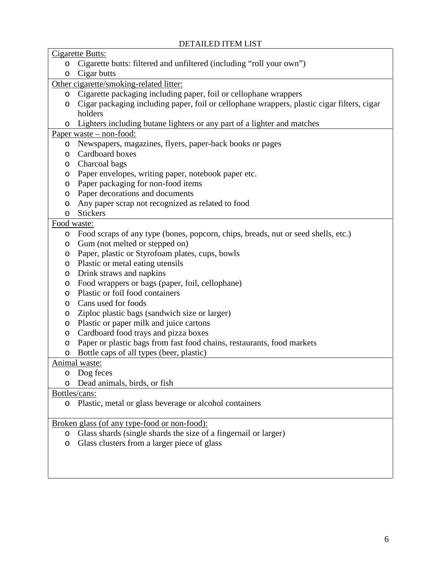# DETAILED ITEM LIST

| Cigarette Butts:                             |                                                                                            |
|----------------------------------------------|--------------------------------------------------------------------------------------------|
| $\circ$                                      | Cigarette butts: filtered and unfiltered (including "roll your own")                       |
| O                                            | Cigar butts                                                                                |
| Other cigarette/smoking-related litter:      |                                                                                            |
| O                                            | Cigarette packaging including paper, foil or cellophane wrappers                           |
| O                                            | Cigar packaging including paper, foil or cellophane wrappers, plastic cigar filters, cigar |
|                                              | holders                                                                                    |
| O                                            | Lighters including butane lighters or any part of a lighter and matches                    |
| Paper waste $-$ non-food:                    |                                                                                            |
| $\circ$                                      | Newspapers, magazines, flyers, paper-back books or pages                                   |
| O                                            | Cardboard boxes                                                                            |
| O                                            | Charcoal bags                                                                              |
| O                                            | Paper envelopes, writing paper, notebook paper etc.                                        |
| O                                            | Paper packaging for non-food items                                                         |
| O                                            | Paper decorations and documents                                                            |
| O                                            | Any paper scrap not recognized as related to food                                          |
| O                                            | <b>Stickers</b>                                                                            |
| Food waste:                                  |                                                                                            |
| O                                            | Food scraps of any type (bones, popcorn, chips, breads, nut or seed shells, etc.)          |
| O                                            | Gum (not melted or stepped on)                                                             |
| O                                            | Paper, plastic or Styrofoam plates, cups, bowls                                            |
| O                                            | Plastic or metal eating utensils                                                           |
| O                                            | Drink straws and napkins                                                                   |
| O                                            | Food wrappers or bags (paper, foil, cellophane)                                            |
| $\circ$                                      | Plastic or foil food containers                                                            |
| O                                            | Cans used for foods                                                                        |
| O                                            | Ziploc plastic bags (sandwich size or larger)                                              |
| $\circ$                                      | Plastic or paper milk and juice cartons                                                    |
| O                                            | Cardboard food trays and pizza boxes                                                       |
| $\circ$                                      | Paper or plastic bags from fast food chains, restaurants, food markets                     |
| O                                            | Bottle caps of all types (beer, plastic)                                                   |
| Animal waste:                                |                                                                                            |
| O                                            | Dog feces                                                                                  |
| O                                            | Dead animals, birds, or fish                                                               |
| Bottles/cans:                                |                                                                                            |
| O                                            | Plastic, metal or glass beverage or alcohol containers                                     |
| Broken glass (of any type-food or non-food): |                                                                                            |
| O                                            | Glass shards (single shards the size of a fingernail or larger)                            |
| O                                            | Glass clusters from a larger piece of glass                                                |
|                                              |                                                                                            |